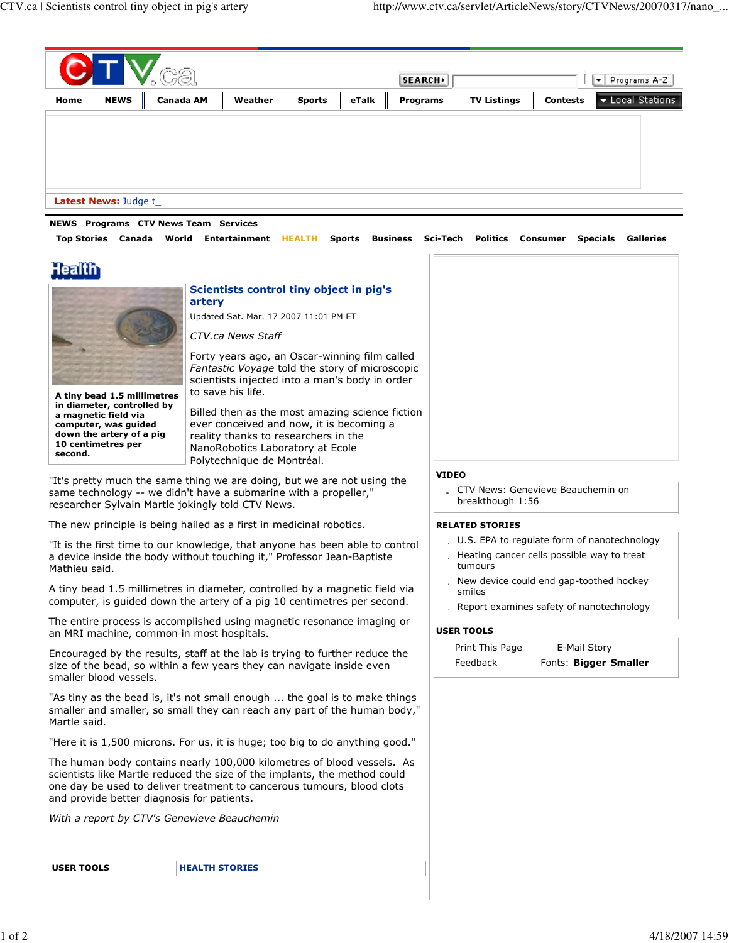

"It is the first time to our knowledge, that anyone has been able to control a device inside the body without touching it," Professor Jean-Baptiste Mathieu said.

A tiny bead 1.5 millimetres in diameter, controlled by a magnetic field via computer, is guided down the artery of a pig 10 centimetres per second.

The entire process is accomplished using magnetic resonance imaging or an MRI machine, common in most hospitals.

Encouraged by the results, staff at the lab is trying to further reduce the size of the bead, so within a few years they can navigate inside even smaller blood vessels.

"As tiny as the bead is, it's not small enough ... the goal is to make things smaller and smaller, so small they can reach any part of the human body," Martle said.

"Here it is 1,500 microns. For us, it is huge; too big to do anything good."

The human body contains nearly 100,000 kilometres of blood vessels. As scientists like Martle reduced the size of the implants, the method could one day be used to deliver treatment to cancerous tumours, blood clots and provide better diagnosis for patients.

With a report by CTV's Genevieve Beauchemin

**USER TOOLS** 

**HEALTH STORIES** 

- U.S. EPA to regulate form of nanotechnology
- Heating cancer cells possible way to treat tumours
- New device could end gap-toothed hockey smiles
- Report examines safety of nanotechnology

## **USER TOOLS**

| Print This Page | E-Mail Story          |
|-----------------|-----------------------|
| Feedback        | Fonts: Bigger Smaller |